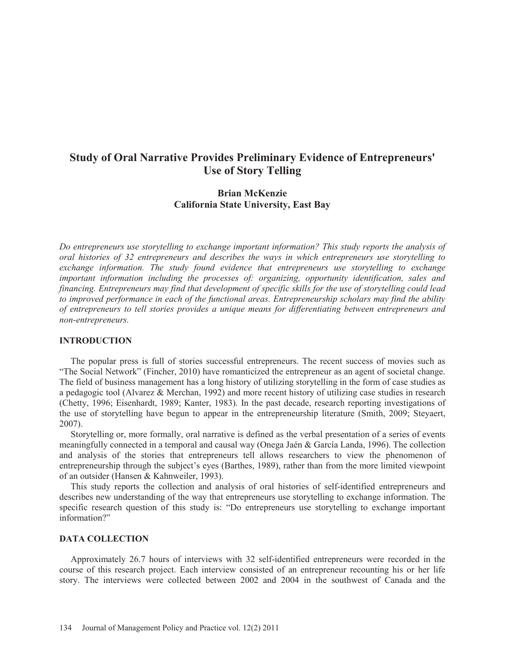# **Study of Oral Narrative Provides Preliminary Evidence of Entrepreneurs' Use of Story Telling**

# **Brian McKenzie California State University, East Bay**

*Do entrepreneurs use storytelling to exchange important information? This study reports the analysis of oral histories of 32 entrepreneurs and describes the ways in which entrepreneurs use storytelling to exchange information. The study found evidence that entrepreneurs use storytelling to exchange important information including the processes of: organizing, opportunity identification, sales and financing. Entrepreneurs may find that development of specific skills for the use of storytelling could lead to improved performance in each of the functional areas. Entrepreneurship scholars may find the ability of entrepreneurs to tell stories provides a unique means for differentiating between entrepreneurs and non-entrepreneurs.* 

# **INTRODUCTION**

 The popular press is full of stories successful entrepreneurs. The recent success of movies such as "The Social Network" (Fincher, 2010) have romanticized the entrepreneur as an agent of societal change. The field of business management has a long history of utilizing storytelling in the form of case studies as a pedagogic tool (Alvarez & Merchan, 1992) and more recent history of utilizing case studies in research (Chetty, 1996; Eisenhardt, 1989; Kanter, 1983). In the past decade, research reporting investigations of the use of storytelling have begun to appear in the entrepreneurship literature (Smith, 2009; Steyaert, 2007).

 Storytelling or, more formally, oral narrative is defined as the verbal presentation of a series of events meaningfully connected in a temporal and causal way (Onega Jaén & García Landa, 1996). The collection and analysis of the stories that entrepreneurs tell allows researchers to view the phenomenon of entrepreneurship through the subject's eyes (Barthes, 1989), rather than from the more limited viewpoint of an outsider (Hansen & Kahnweiler, 1993).

 This study reports the collection and analysis of oral histories of self-identified entrepreneurs and describes new understanding of the way that entrepreneurs use storytelling to exchange information. The specific research question of this study is: "Do entrepreneurs use storytelling to exchange important information?"

#### **DATA COLLECTION**

 Approximately 26.7 hours of interviews with 32 self-identified entrepreneurs were recorded in the course of this research project. Each interview consisted of an entrepreneur recounting his or her life story. The interviews were collected between 2002 and 2004 in the southwest of Canada and the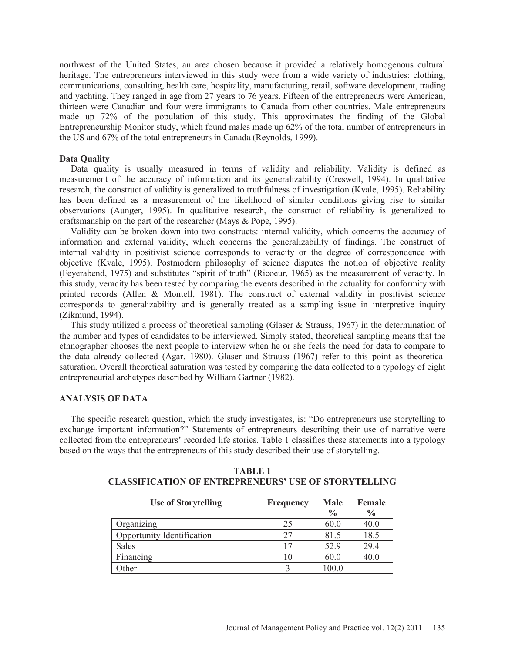northwest of the United States, an area chosen because it provided a relatively homogenous cultural heritage. The entrepreneurs interviewed in this study were from a wide variety of industries: clothing, communications, consulting, health care, hospitality, manufacturing, retail, software development, trading and yachting. They ranged in age from 27 years to 76 years. Fifteen of the entrepreneurs were American, thirteen were Canadian and four were immigrants to Canada from other countries. Male entrepreneurs made up 72% of the population of this study. This approximates the finding of the Global Entrepreneurship Monitor study, which found males made up 62% of the total number of entrepreneurs in the US and 67% of the total entrepreneurs in Canada (Reynolds, 1999).

### **Data Quality**

 Data quality is usually measured in terms of validity and reliability. Validity is defined as measurement of the accuracy of information and its generalizability (Creswell, 1994). In qualitative research, the construct of validity is generalized to truthfulness of investigation (Kvale, 1995). Reliability has been defined as a measurement of the likelihood of similar conditions giving rise to similar observations (Aunger, 1995). In qualitative research, the construct of reliability is generalized to craftsmanship on the part of the researcher (Mays & Pope, 1995).

 Validity can be broken down into two constructs: internal validity, which concerns the accuracy of information and external validity, which concerns the generalizability of findings. The construct of internal validity in positivist science corresponds to veracity or the degree of correspondence with objective (Kvale, 1995). Postmodern philosophy of science disputes the notion of objective reality (Feyerabend, 1975) and substitutes "spirit of truth" (Ricoeur, 1965) as the measurement of veracity. In this study, veracity has been tested by comparing the events described in the actuality for conformity with printed records (Allen & Montell, 1981). The construct of external validity in positivist science corresponds to generalizability and is generally treated as a sampling issue in interpretive inquiry (Zikmund, 1994).

This study utilized a process of theoretical sampling (Glaser & Strauss, 1967) in the determination of the number and types of candidates to be interviewed. Simply stated, theoretical sampling means that the ethnographer chooses the next people to interview when he or she feels the need for data to compare to the data already collected (Agar, 1980). Glaser and Strauss (1967) refer to this point as theoretical saturation. Overall theoretical saturation was tested by comparing the data collected to a typology of eight entrepreneurial archetypes described by William Gartner (1982).

### **ANALYSIS OF DATA**

 The specific research question, which the study investigates, is: "Do entrepreneurs use storytelling to exchange important information?" Statements of entrepreneurs describing their use of narrative were collected from the entrepreneurs' recorded life stories. Table 1 classifies these statements into a typology based on the ways that the entrepreneurs of this study described their use of storytelling.

| <b>Use of Storytelling</b> | <b>Frequency</b> | <b>Male</b><br>$\frac{0}{0}$ | Female<br>$\frac{0}{0}$ |
|----------------------------|------------------|------------------------------|-------------------------|
| Organizing                 | 25               | 60.0                         | 40.0                    |
| Opportunity Identification | 27               | 81.5                         | 18.5                    |
| <b>Sales</b>               | 17               | 52.9                         | 29.4                    |
| Financing                  | 10               | 60.0                         | 40.0                    |
| Other                      |                  | 100.0                        |                         |

# **TABLE 1 CLASSIFICATION OF ENTREPRENEURS' USE OF STORYTELLING**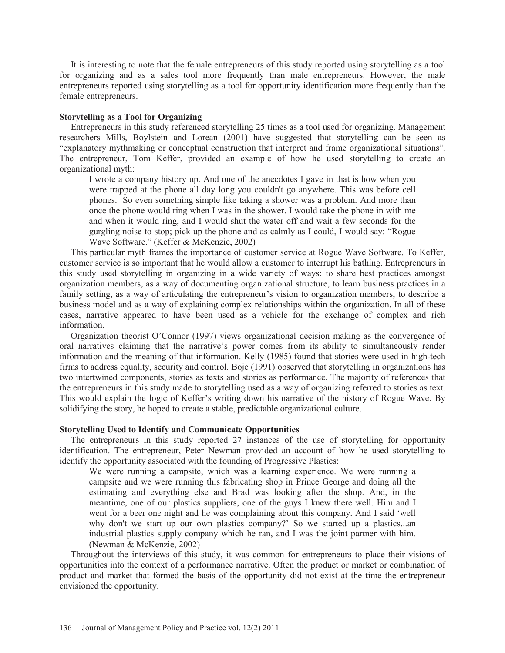It is interesting to note that the female entrepreneurs of this study reported using storytelling as a tool for organizing and as a sales tool more frequently than male entrepreneurs. However, the male entrepreneurs reported using storytelling as a tool for opportunity identification more frequently than the female entrepreneurs.

#### **Storytelling as a Tool for Organizing**

 Entrepreneurs in this study referenced storytelling 25 times as a tool used for organizing. Management researchers Mills, Boylstein and Lorean (2001) have suggested that storytelling can be seen as "explanatory mythmaking or conceptual construction that interpret and frame organizational situations". The entrepreneur, Tom Keffer, provided an example of how he used storytelling to create an organizational myth:

I wrote a company history up. And one of the anecdotes I gave in that is how when you were trapped at the phone all day long you couldn't go anywhere. This was before cell phones. So even something simple like taking a shower was a problem. And more than once the phone would ring when I was in the shower. I would take the phone in with me and when it would ring, and I would shut the water off and wait a few seconds for the gurgling noise to stop; pick up the phone and as calmly as I could, I would say: "Rogue Wave Software." (Keffer & McKenzie, 2002)

 This particular myth frames the importance of customer service at Rogue Wave Software. To Keffer, customer service is so important that he would allow a customer to interrupt his bathing. Entrepreneurs in this study used storytelling in organizing in a wide variety of ways: to share best practices amongst organization members, as a way of documenting organizational structure, to learn business practices in a family setting, as a way of articulating the entrepreneur's vision to organization members, to describe a business model and as a way of explaining complex relationships within the organization. In all of these cases, narrative appeared to have been used as a vehicle for the exchange of complex and rich information.

 Organization theorist O'Connor (1997) views organizational decision making as the convergence of oral narratives claiming that the narrative's power comes from its ability to simultaneously render information and the meaning of that information. Kelly (1985) found that stories were used in high-tech firms to address equality, security and control. Boje (1991) observed that storytelling in organizations has two intertwined components, stories as texts and stories as performance. The majority of references that the entrepreneurs in this study made to storytelling used as a way of organizing referred to stories as text. This would explain the logic of Keffer's writing down his narrative of the history of Rogue Wave. By solidifying the story, he hoped to create a stable, predictable organizational culture.

#### **Storytelling Used to Identify and Communicate Opportunities**

 The entrepreneurs in this study reported 27 instances of the use of storytelling for opportunity identification. The entrepreneur, Peter Newman provided an account of how he used storytelling to identify the opportunity associated with the founding of Progressive Plastics:

We were running a campsite, which was a learning experience. We were running a campsite and we were running this fabricating shop in Prince George and doing all the estimating and everything else and Brad was looking after the shop. And, in the meantime, one of our plastics suppliers, one of the guys I knew there well. Him and I went for a beer one night and he was complaining about this company. And I said 'well why don't we start up our own plastics company?' So we started up a plastics...an industrial plastics supply company which he ran, and I was the joint partner with him. (Newman & McKenzie, 2002)

 Throughout the interviews of this study, it was common for entrepreneurs to place their visions of opportunities into the context of a performance narrative. Often the product or market or combination of product and market that formed the basis of the opportunity did not exist at the time the entrepreneur envisioned the opportunity.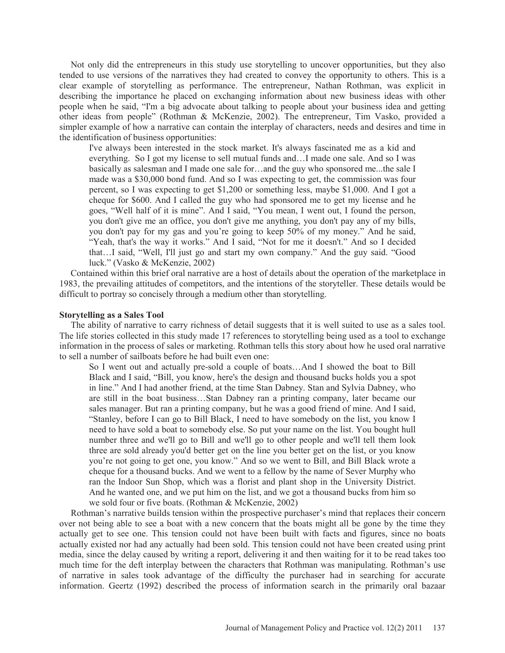Not only did the entrepreneurs in this study use storytelling to uncover opportunities, but they also tended to use versions of the narratives they had created to convey the opportunity to others. This is a clear example of storytelling as performance. The entrepreneur, Nathan Rothman, was explicit in describing the importance he placed on exchanging information about new business ideas with other people when he said, "I'm a big advocate about talking to people about your business idea and getting other ideas from people" (Rothman & McKenzie, 2002). The entrepreneur, Tim Vasko, provided a simpler example of how a narrative can contain the interplay of characters, needs and desires and time in the identification of business opportunities:

I've always been interested in the stock market. It's always fascinated me as a kid and everything. So I got my license to sell mutual funds and…I made one sale. And so I was basically as salesman and I made one sale for…and the guy who sponsored me...the sale I made was a \$30,000 bond fund. And so I was expecting to get, the commission was four percent, so I was expecting to get \$1,200 or something less, maybe \$1,000. And I got a cheque for \$600. And I called the guy who had sponsored me to get my license and he goes, "Well half of it is mine". And I said, "You mean, I went out, I found the person, you don't give me an office, you don't give me anything, you don't pay any of my bills, you don't pay for my gas and you're going to keep 50% of my money." And he said, "Yeah, that's the way it works." And I said, "Not for me it doesn't." And so I decided that…I said, "Well, I'll just go and start my own company." And the guy said. "Good luck." (Vasko & McKenzie, 2002)

 Contained within this brief oral narrative are a host of details about the operation of the marketplace in 1983, the prevailing attitudes of competitors, and the intentions of the storyteller. These details would be difficult to portray so concisely through a medium other than storytelling.

#### **Storytelling as a Sales Tool**

 The ability of narrative to carry richness of detail suggests that it is well suited to use as a sales tool. The life stories collected in this study made 17 references to storytelling being used as a tool to exchange information in the process of sales or marketing. Rothman tells this story about how he used oral narrative to sell a number of sailboats before he had built even one:

So I went out and actually pre-sold a couple of boats…And I showed the boat to Bill Black and I said, "Bill, you know, here's the design and thousand bucks holds you a spot in line." And I had another friend, at the time Stan Dabney. Stan and Sylvia Dabney, who are still in the boat business…Stan Dabney ran a printing company, later became our sales manager. But ran a printing company, but he was a good friend of mine. And I said, "Stanley, before I can go to Bill Black, I need to have somebody on the list, you know I need to have sold a boat to somebody else. So put your name on the list. You bought hull number three and we'll go to Bill and we'll go to other people and we'll tell them look three are sold already you'd better get on the line you better get on the list, or you know you're not going to get one, you know." And so we went to Bill, and Bill Black wrote a cheque for a thousand bucks. And we went to a fellow by the name of Sever Murphy who ran the Indoor Sun Shop, which was a florist and plant shop in the University District. And he wanted one, and we put him on the list, and we got a thousand bucks from him so we sold four or five boats. (Rothman & McKenzie, 2002)

 Rothman's narrative builds tension within the prospective purchaser's mind that replaces their concern over not being able to see a boat with a new concern that the boats might all be gone by the time they actually get to see one. This tension could not have been built with facts and figures, since no boats actually existed nor had any actually had been sold. This tension could not have been created using print media, since the delay caused by writing a report, delivering it and then waiting for it to be read takes too much time for the deft interplay between the characters that Rothman was manipulating. Rothman's use of narrative in sales took advantage of the difficulty the purchaser had in searching for accurate information. Geertz (1992) described the process of information search in the primarily oral bazaar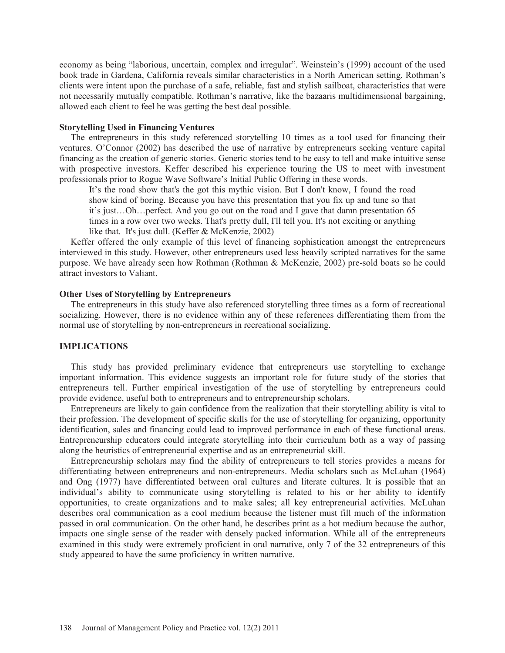economy as being "laborious, uncertain, complex and irregular". Weinstein's (1999) account of the used book trade in Gardena, California reveals similar characteristics in a North American setting. Rothman's clients were intent upon the purchase of a safe, reliable, fast and stylish sailboat, characteristics that were not necessarily mutually compatible. Rothman's narrative, like the bazaaris multidimensional bargaining, allowed each client to feel he was getting the best deal possible.

# **Storytelling Used in Financing Ventures**

 The entrepreneurs in this study referenced storytelling 10 times as a tool used for financing their ventures. O'Connor (2002) has described the use of narrative by entrepreneurs seeking venture capital financing as the creation of generic stories. Generic stories tend to be easy to tell and make intuitive sense with prospective investors. Keffer described his experience touring the US to meet with investment professionals prior to Rogue Wave Software's Initial Public Offering in these words.

It's the road show that's the got this mythic vision. But I don't know, I found the road show kind of boring. Because you have this presentation that you fix up and tune so that it's just…Oh…perfect. And you go out on the road and I gave that damn presentation 65 times in a row over two weeks. That's pretty dull, I'll tell you. It's not exciting or anything like that. It's just dull. (Keffer & McKenzie, 2002)

 Keffer offered the only example of this level of financing sophistication amongst the entrepreneurs interviewed in this study. However, other entrepreneurs used less heavily scripted narratives for the same purpose. We have already seen how Rothman (Rothman & McKenzie, 2002) pre-sold boats so he could attract investors to Valiant.

# **Other Uses of Storytelling by Entrepreneurs**

 The entrepreneurs in this study have also referenced storytelling three times as a form of recreational socializing. However, there is no evidence within any of these references differentiating them from the normal use of storytelling by non-entrepreneurs in recreational socializing.

#### **IMPLICATIONS**

 This study has provided preliminary evidence that entrepreneurs use storytelling to exchange important information. This evidence suggests an important role for future study of the stories that entrepreneurs tell. Further empirical investigation of the use of storytelling by entrepreneurs could provide evidence, useful both to entrepreneurs and to entrepreneurship scholars.

 Entrepreneurs are likely to gain confidence from the realization that their storytelling ability is vital to their profession. The development of specific skills for the use of storytelling for organizing, opportunity identification, sales and financing could lead to improved performance in each of these functional areas. Entrepreneurship educators could integrate storytelling into their curriculum both as a way of passing along the heuristics of entrepreneurial expertise and as an entrepreneurial skill.

 Entrepreneurship scholars may find the ability of entrepreneurs to tell stories provides a means for differentiating between entrepreneurs and non-entrepreneurs. Media scholars such as McLuhan (1964) and Ong (1977) have differentiated between oral cultures and literate cultures. It is possible that an individual's ability to communicate using storytelling is related to his or her ability to identify opportunities, to create organizations and to make sales; all key entrepreneurial activities. McLuhan describes oral communication as a cool medium because the listener must fill much of the information passed in oral communication. On the other hand, he describes print as a hot medium because the author, impacts one single sense of the reader with densely packed information. While all of the entrepreneurs examined in this study were extremely proficient in oral narrative, only 7 of the 32 entrepreneurs of this study appeared to have the same proficiency in written narrative.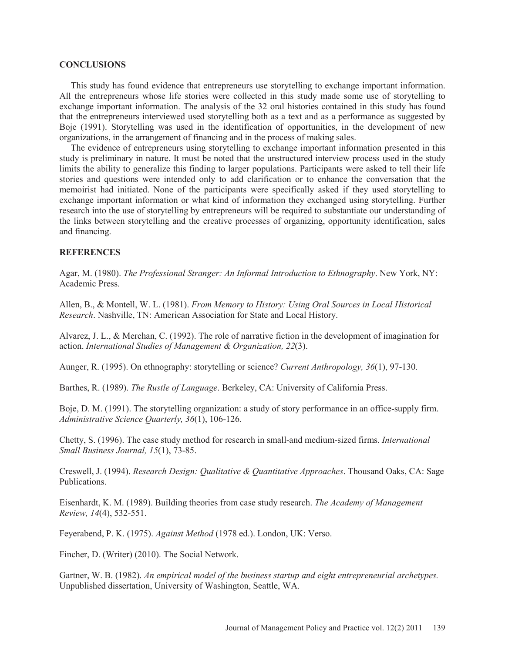#### **CONCLUSIONS**

 This study has found evidence that entrepreneurs use storytelling to exchange important information. All the entrepreneurs whose life stories were collected in this study made some use of storytelling to exchange important information. The analysis of the 32 oral histories contained in this study has found that the entrepreneurs interviewed used storytelling both as a text and as a performance as suggested by Boje (1991). Storytelling was used in the identification of opportunities, in the development of new organizations, in the arrangement of financing and in the process of making sales.

 The evidence of entrepreneurs using storytelling to exchange important information presented in this study is preliminary in nature. It must be noted that the unstructured interview process used in the study limits the ability to generalize this finding to larger populations. Participants were asked to tell their life stories and questions were intended only to add clarification or to enhance the conversation that the memoirist had initiated. None of the participants were specifically asked if they used storytelling to exchange important information or what kind of information they exchanged using storytelling. Further research into the use of storytelling by entrepreneurs will be required to substantiate our understanding of the links between storytelling and the creative processes of organizing, opportunity identification, sales and financing.

#### **REFERENCES**

Agar, M. (1980). *The Professional Stranger: An Informal Introduction to Ethnography*. New York, NY: Academic Press.

Allen, B., & Montell, W. L. (1981). *From Memory to History: Using Oral Sources in Local Historical Research*. Nashville, TN: American Association for State and Local History.

Alvarez, J. L., & Merchan, C. (1992). The role of narrative fiction in the development of imagination for action. *International Studies of Management & Organization, 22*(3).

Aunger, R. (1995). On ethnography: storytelling or science? *Current Anthropology, 36*(1), 97-130.

Barthes, R. (1989). *The Rustle of Language*. Berkeley, CA: University of California Press.

Boje, D. M. (1991). The storytelling organization: a study of story performance in an office-supply firm. *Administrative Science Quarterly, 36*(1), 106-126.

Chetty, S. (1996). The case study method for research in small-and medium-sized firms. *International Small Business Journal, 15*(1), 73-85.

Creswell, J. (1994). *Research Design: Qualitative & Quantitative Approaches*. Thousand Oaks, CA: Sage Publications.

Eisenhardt, K. M. (1989). Building theories from case study research. *The Academy of Management Review, 14*(4), 532-551.

Feyerabend, P. K. (1975). *Against Method* (1978 ed.). London, UK: Verso.

Fincher, D. (Writer) (2010). The Social Network.

Gartner, W. B. (1982). *An empirical model of the business startup and eight entrepreneurial archetypes.* Unpublished dissertation, University of Washington, Seattle, WA.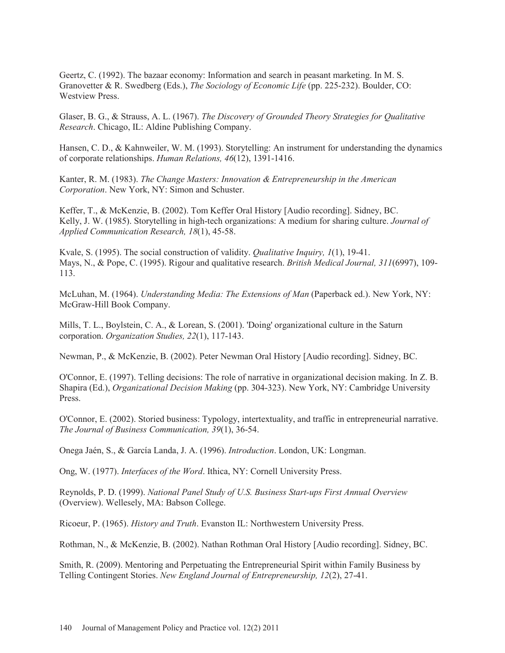Geertz, C. (1992). The bazaar economy: Information and search in peasant marketing. In M. S. Granovetter & R. Swedberg (Eds.), *The Sociology of Economic Life* (pp. 225-232). Boulder, CO: Westview Press.

Glaser, B. G., & Strauss, A. L. (1967). *The Discovery of Grounded Theory Strategies for Qualitative Research*. Chicago, IL: Aldine Publishing Company.

Hansen, C. D., & Kahnweiler, W. M. (1993). Storytelling: An instrument for understanding the dynamics of corporate relationships. *Human Relations, 46*(12), 1391-1416.

Kanter, R. M. (1983). *The Change Masters: Innovation & Entrepreneurship in the American Corporation*. New York, NY: Simon and Schuster.

Keffer, T., & McKenzie, B. (2002). Tom Keffer Oral History [Audio recording]. Sidney, BC. Kelly, J. W. (1985). Storytelling in high-tech organizations: A medium for sharing culture. *Journal of Applied Communication Research, 18*(1), 45-58.

Kvale, S. (1995). The social construction of validity. *Qualitative Inquiry, 1*(1), 19-41. Mays, N., & Pope, C. (1995). Rigour and qualitative research. *British Medical Journal, 311*(6997), 109- 113.

McLuhan, M. (1964). *Understanding Media: The Extensions of Man* (Paperback ed.). New York, NY: McGraw-Hill Book Company.

Mills, T. L., Boylstein, C. A., & Lorean, S. (2001). 'Doing' organizational culture in the Saturn corporation. *Organization Studies, 22*(1), 117-143.

Newman, P., & McKenzie, B. (2002). Peter Newman Oral History [Audio recording]. Sidney, BC.

O'Connor, E. (1997). Telling decisions: The role of narrative in organizational decision making. In Z. B. Shapira (Ed.), *Organizational Decision Making* (pp. 304-323). New York, NY: Cambridge University Press.

O'Connor, E. (2002). Storied business: Typology, intertextuality, and traffic in entrepreneurial narrative. *The Journal of Business Communication, 39*(1), 36-54.

Onega Jaén, S., & García Landa, J. A. (1996). *Introduction*. London, UK: Longman.

Ong, W. (1977). *Interfaces of the Word*. Ithica, NY: Cornell University Press.

Reynolds, P. D. (1999). *National Panel Study of U.S. Business Start-ups First Annual Overview* (Overview). Wellesely, MA: Babson College.

Ricoeur, P. (1965). *History and Truth*. Evanston IL: Northwestern University Press.

Rothman, N., & McKenzie, B. (2002). Nathan Rothman Oral History [Audio recording]. Sidney, BC.

Smith, R. (2009). Mentoring and Perpetuating the Entrepreneurial Spirit within Family Business by Telling Contingent Stories. *New England Journal of Entrepreneurship, 12*(2), 27-41.